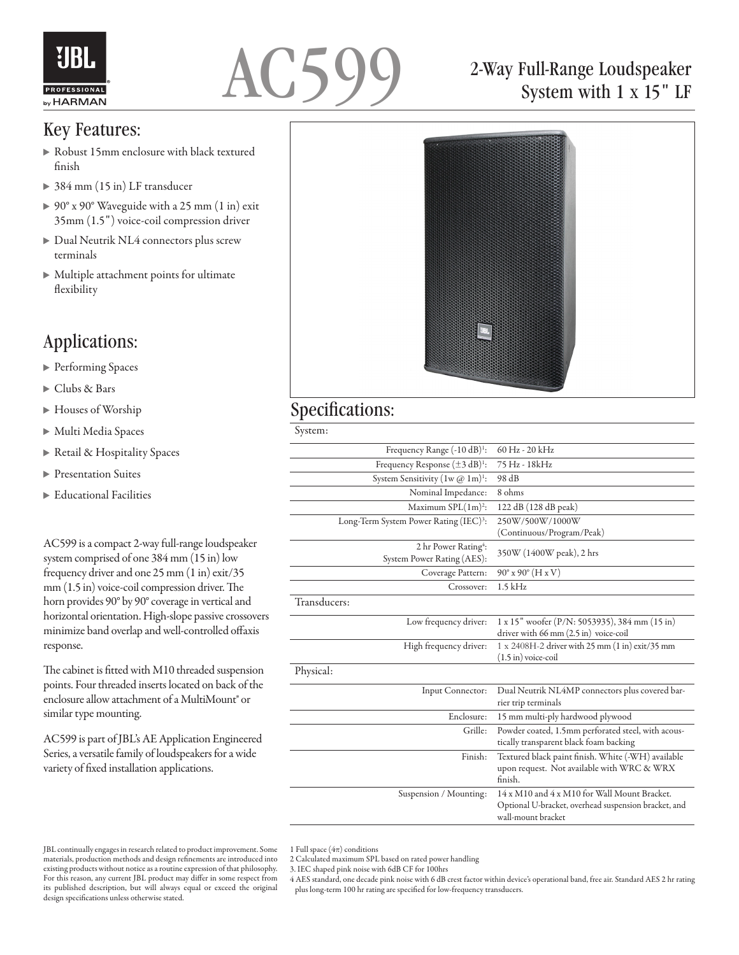



### Key Features:

- Robust 15mm enclosure with black textured finish
- ▶ 384 mm (15 in) LF transducer
- ▶ 90° x 90° Waveguide with a 25 mm (1 in) exit 35mm (1.5") voice-coil compression driver
- Dual Neutrik NL4 connectors plus screw terminals
- Multiple attachment points for ultimate flexibility

### Applications:

- ▶ Performing Spaces
- Clubs & Bars
- Houses of Worship
- Multi Media Spaces
- ▶ Retail & Hospitality Spaces
- **Presentation Suites**
- Educational Facilities

AC599 is a compact 2-way full-range loudspeaker system comprised of one 384 mm (15 in) low frequency driver and one 25 mm (1 in) exit/35 mm (1.5 in) voice-coil compression driver. The horn provides 90° by 90° coverage in vertical and horizontal orientation. High-slope passive crossovers minimize band overlap and well-controlled offaxis response.

The cabinet is fitted with M10 threaded suspension points. Four threaded inserts located on back of the enclosure allow attachment of a MultiMount® or similar type mounting.

AC599 is part of JBL's AE Application Engineered Series, a versatile family of loudspeakers for a wide variety of fixed installation applications.

## 2-Way Full-Range Loudspeaker System with 1 x 15" LF



#### Specifications:

System:

| Frequency Range (-10 dB) <sup>1</sup> :                        | 60 Hz - 20 kHz                                                                                                             |
|----------------------------------------------------------------|----------------------------------------------------------------------------------------------------------------------------|
| Frequency Response $(\pm 3 \text{ dB})^1$ :                    | 75 Hz - 18kHz                                                                                                              |
| System Sensitivity $(1w \, \textcircled{a} \, 1m)^1$ :         | 98 dB                                                                                                                      |
| Nominal Impedance:                                             | 8 ohms                                                                                                                     |
| Maximum SPL(1m) <sup>2</sup> :                                 | 122 dB (128 dB peak)                                                                                                       |
| Long-Term System Power Rating (IEC) <sup>3</sup> :             | 250W/500W/1000W                                                                                                            |
|                                                                | (Continuous/Program/Peak)                                                                                                  |
| 2 hr Power Rating <sup>4</sup> :<br>System Power Rating (AES): | 350W (1400W peak), 2 hrs                                                                                                   |
| Coverage Pattern:                                              | $90^{\circ}$ x $90^{\circ}$ (H x V)                                                                                        |
| Crossover:                                                     | $1.5$ kHz                                                                                                                  |
| Transducers:                                                   |                                                                                                                            |
| Low frequency driver:                                          | 1 x 15" woofer (P/N: 5053935), 384 mm (15 in)<br>driver with 66 mm (2.5 in) voice-coil                                     |
| High frequency driver:                                         | 1 x 2408H-2 driver with 25 mm (1 in) exit/35 mm<br>$(1.5 \text{ in})$ voice-coil                                           |
| Physical:                                                      |                                                                                                                            |
| Input Connector:                                               | Dual Neutrik NL4MP connectors plus covered bar-<br>rier trip terminals                                                     |
| Enclosure:                                                     | 15 mm multi-ply hardwood plywood                                                                                           |
| Grille:                                                        | Powder coated, 1.5mm perforated steel, with acous-<br>tically transparent black foam backing                               |
| Finish:                                                        | Textured black paint finish. White (-WH) available<br>upon request. Not available with WRC & WRX<br>finish.                |
| Suspension / Mounting:                                         | 14 x M10 and 4 x M10 for Wall Mount Bracket.<br>Optional U-bracket, overhead suspension bracket, and<br>wall-mount bracket |

1 Full space  $(4\pi)$  conditions

- 2 Calculated maximum SPL based on rated power handling
- 3. IEC shaped pink noise with 6dB CF for 100hrs

4 AES standard, one decade pink noise with 6 dB crest factor within device's operational band, free air. Standard AES 2 hr rating plus long-term 100 hr rating are specified for low-frequency transducers.

JBL continually engages in research related to product improvement. Some materials, production methods and design refinements are introduced into existing products without notice as a routine expression of that philosophy. For this reason, any current JBL product may differ in some respect from its published description, but will always equal or exceed the original design specifications unless otherwise stated.